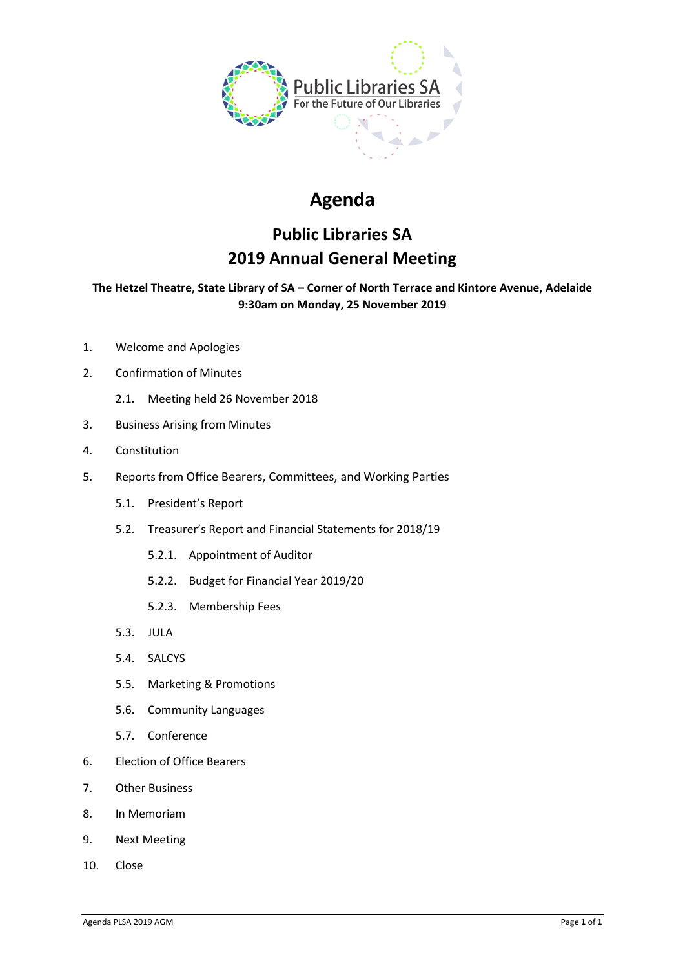

# **Agenda**

## **Public Libraries SA 2019 Annual General Meeting**

## **The Hetzel Theatre, State Library of SA – Corner of North Terrace and Kintore Avenue, Adelaide 9:30am on Monday, 25 November 2019**

- 1. Welcome and Apologies
- 2. Confirmation of Minutes
	- 2.1. Meeting held 26 November 2018
- 3. Business Arising from Minutes
- 4. Constitution
- 5. Reports from Office Bearers, Committees, and Working Parties
	- 5.1. President's Report
	- 5.2. Treasurer's Report and Financial Statements for 2018/19
		- 5.2.1. Appointment of Auditor
		- 5.2.2. Budget for Financial Year 2019/20
		- 5.2.3. Membership Fees
	- 5.3. JULA
	- 5.4. SALCYS
	- 5.5. Marketing & Promotions
	- 5.6. Community Languages
	- 5.7. Conference
- 6. Election of Office Bearers
- 7. Other Business
- 8. In Memoriam
- 9. Next Meeting
- 10. Close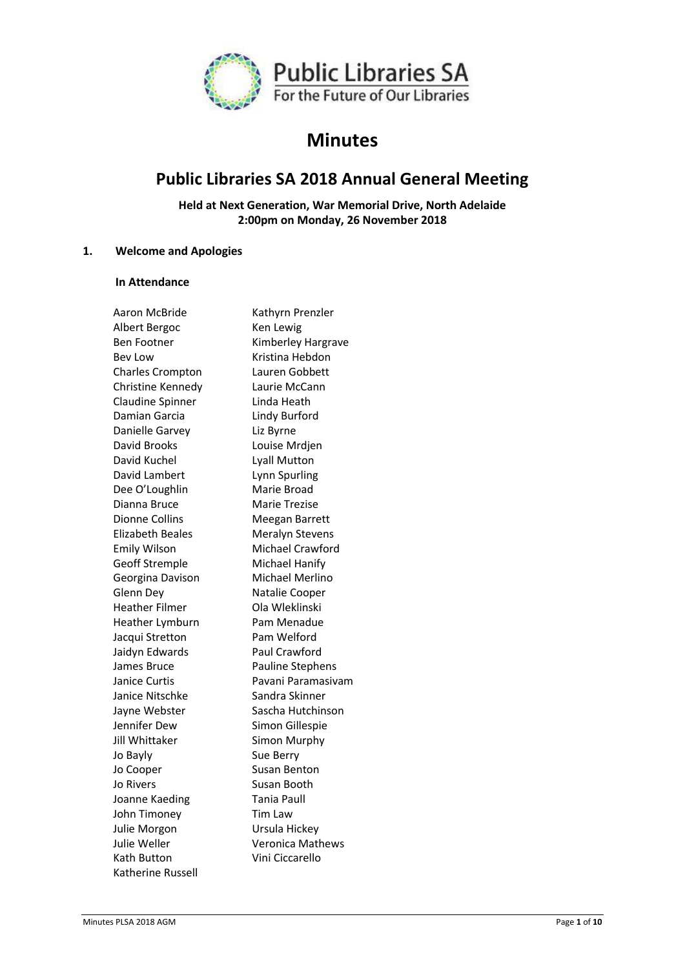

## **Minutes**

## **Public Libraries SA 2018 Annual General Meeting**

**Held at Next Generation, War Memorial Drive, North Adelaide 2:00pm on Monday, 26 November 2018**

## **1. Welcome and Apologies**

## **In Attendance**

| Aaron McBride         | Kathyrn Prenzler        |
|-----------------------|-------------------------|
| Albert Bergoc         | Ken Lewig               |
| Ben Footner           | Kimberley Hargrave      |
| <b>Bey Low</b>        | Kristina Hebdon         |
| Charles Crompton      | Lauren Gobbett          |
| Christine Kennedy     | Laurie McCann           |
| Claudine Spinner      | Linda Heath             |
| Damian Garcia         | Lindy Burford           |
| Danielle Garvey       | Liz Byrne               |
| David Brooks          | Louise Mrdjen           |
| David Kuchel          | <b>Lyall Mutton</b>     |
| David Lambert         | Lynn Spurling           |
| Dee O'Loughlin        | Marie Broad             |
| Dianna Bruce          | Marie Trezise           |
| Dionne Collins        | Meegan Barrett          |
| Elizabeth Beales      | Meralyn Stevens         |
| <b>Emily Wilson</b>   | Michael Crawford        |
| <b>Geoff Stremple</b> | Michael Hanify          |
| Georgina Davison      | Michael Merlino         |
| Glenn Dey             | Natalie Cooper          |
| <b>Heather Filmer</b> | Ola Wleklinski          |
| Heather Lymburn       | Pam Menadue             |
| Jacqui Stretton       | Pam Welford             |
| Jaidyn Edwards        | Paul Crawford           |
| James Bruce           | Pauline Stephens        |
| Janice Curtis         | Pavani Paramasivam      |
| Janice Nitschke       | Sandra Skinner          |
| Jayne Webster         | Sascha Hutchinson       |
| Jennifer Dew          | Simon Gillespie         |
| Jill Whittaker        | Simon Murphy            |
| Jo Bayly              | Sue Berry               |
| Jo Cooper             | <b>Susan Benton</b>     |
| Jo Rivers             | Susan Booth             |
| Joanne Kaeding        | Tania Paull             |
| John Timoney          | Tim Law                 |
| Julie Morgon          | Ursula Hickey           |
| Julie Weller          | <b>Veronica Mathews</b> |
| Kath Button           | Vini Ciccarello         |
| Katherine Russell     |                         |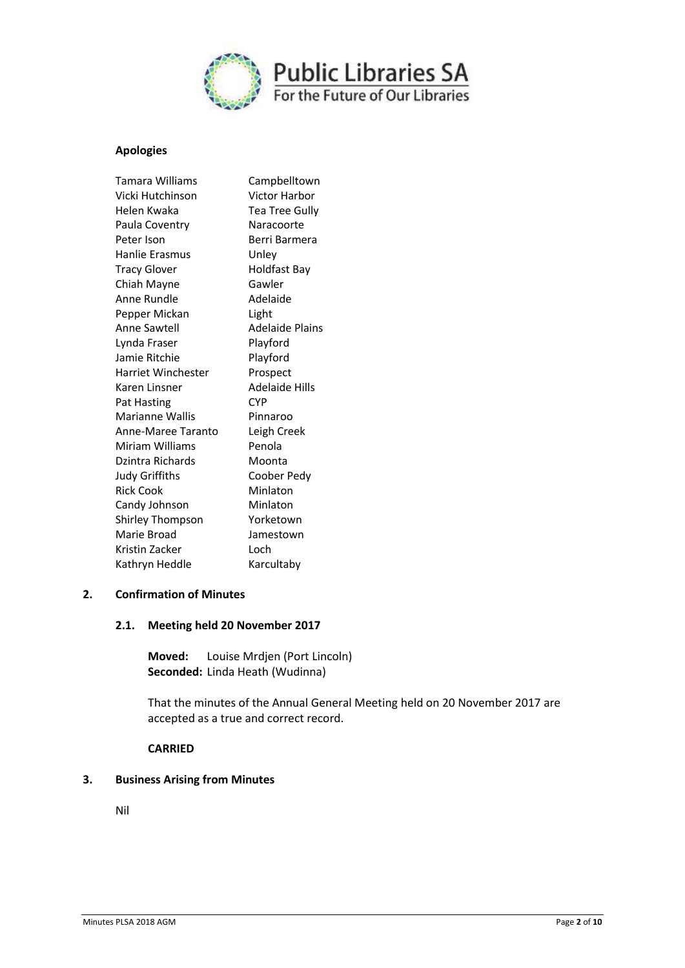

## **Apologies**

| <b>Tamara Williams</b>    | Campbelltown          |
|---------------------------|-----------------------|
| Vicki Hutchinson          | Victor Harbor         |
| Helen Kwaka               | Tea Tree Gully        |
| Paula Coventry            | Naracoorte            |
| Peter Ison                | Berri Barmera         |
| Hanlie Frasmus            | Unley                 |
| <b>Tracy Glover</b>       | Holdfast Bay          |
| Chiah Mayne               | Gawler                |
| Anne Rundle               | Adelaide              |
| Pepper Mickan             | Light                 |
| Anne Sawtell              | Adelaide Plains       |
| Lynda Fraser              | Playford              |
| Jamie Ritchie             | Playford              |
| <b>Harriet Winchester</b> | Prospect              |
| Karen Linsner             | <b>Adelaide Hills</b> |
| Pat Hasting               | <b>CYP</b>            |
| Marianne Wallis           | Pinnaroo              |
| Anne-Maree Taranto        | Leigh Creek           |
| Miriam Williams           | Penola                |
| Dzintra Richards          | Moonta                |
| Judy Griffiths            | Coober Pedv           |
| <b>Rick Cook</b>          | Minlaton              |
| Candy Johnson             | Minlaton              |
| Shirley Thompson          | Yorketown             |
| Marie Broad               | Jamestown             |
| Kristin Zacker            | I och                 |
| Kathryn Heddle            | Karcultaby            |
|                           |                       |

## **2. Confirmation of Minutes**

## **2.1. Meeting held 20 November 2017**

**Moved:** Louise Mrdjen (Port Lincoln) **Seconded:** Linda Heath (Wudinna)

That the minutes of the Annual General Meeting held on 20 November 2017 are accepted as a true and correct record.

## **CARRIED**

## **3. Business Arising from Minutes**

Nil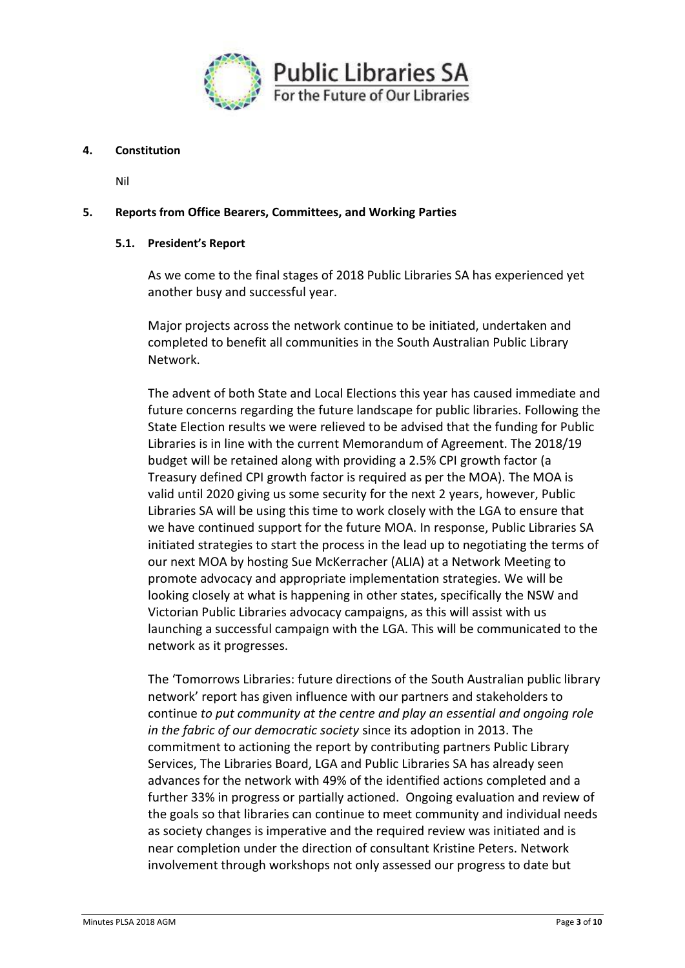

## **4. Constitution**

Nil

## **5. Reports from Office Bearers, Committees, and Working Parties**

## **5.1. President's Report**

As we come to the final stages of 2018 Public Libraries SA has experienced yet another busy and successful year.

Major projects across the network continue to be initiated, undertaken and completed to benefit all communities in the South Australian Public Library Network.

The advent of both State and Local Elections this year has caused immediate and future concerns regarding the future landscape for public libraries. Following the State Election results we were relieved to be advised that the funding for Public Libraries is in line with the current Memorandum of Agreement. The 2018/19 budget will be retained along with providing a 2.5% CPI growth factor (a Treasury defined CPI growth factor is required as per the MOA). The MOA is valid until 2020 giving us some security for the next 2 years, however, Public Libraries SA will be using this time to work closely with the LGA to ensure that we have continued support for the future MOA. In response, Public Libraries SA initiated strategies to start the process in the lead up to negotiating the terms of our next MOA by hosting Sue McKerracher (ALIA) at a Network Meeting to promote advocacy and appropriate implementation strategies. We will be looking closely at what is happening in other states, specifically the NSW and Victorian Public Libraries advocacy campaigns, as this will assist with us launching a successful campaign with the LGA. This will be communicated to the network as it progresses.

The 'Tomorrows Libraries: future directions of the South Australian public library network' report has given influence with our partners and stakeholders to continue *to put community at the centre and play an essential and ongoing role in the fabric of our democratic society* since its adoption in 2013. The commitment to actioning the report by contributing partners Public Library Services, The Libraries Board, LGA and Public Libraries SA has already seen advances for the network with 49% of the identified actions completed and a further 33% in progress or partially actioned. Ongoing evaluation and review of the goals so that libraries can continue to meet community and individual needs as society changes is imperative and the required review was initiated and is near completion under the direction of consultant Kristine Peters. Network involvement through workshops not only assessed our progress to date but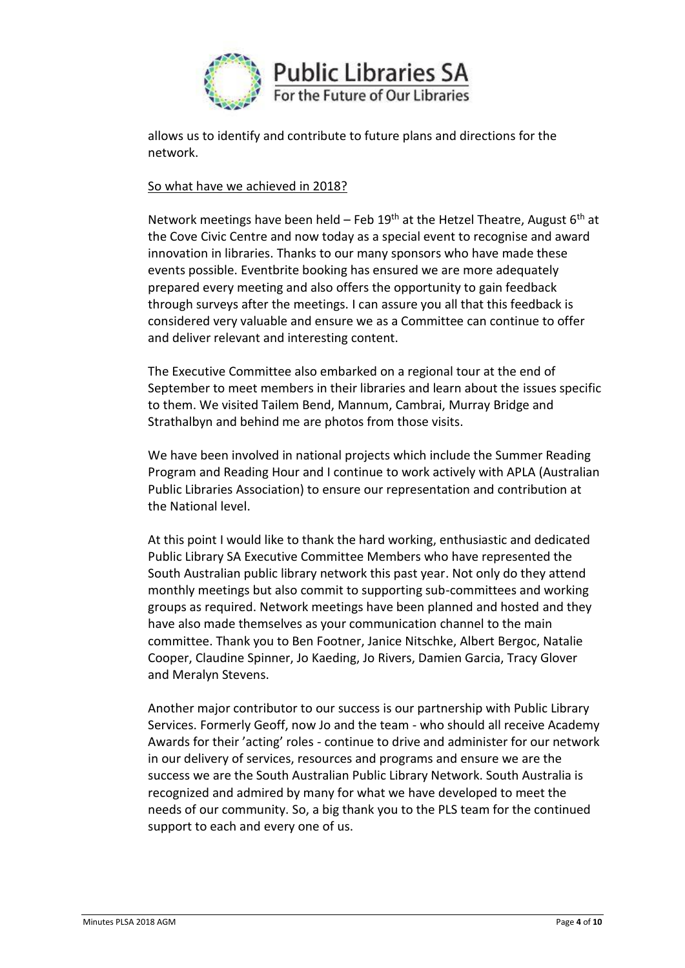

allows us to identify and contribute to future plans and directions for the network.

## So what have we achieved in 2018?

Network meetings have been held – Feb 19<sup>th</sup> at the Hetzel Theatre, August  $6<sup>th</sup>$  at the Cove Civic Centre and now today as a special event to recognise and award innovation in libraries. Thanks to our many sponsors who have made these events possible. Eventbrite booking has ensured we are more adequately prepared every meeting and also offers the opportunity to gain feedback through surveys after the meetings. I can assure you all that this feedback is considered very valuable and ensure we as a Committee can continue to offer and deliver relevant and interesting content.

The Executive Committee also embarked on a regional tour at the end of September to meet members in their libraries and learn about the issues specific to them. We visited Tailem Bend, Mannum, Cambrai, Murray Bridge and Strathalbyn and behind me are photos from those visits.

We have been involved in national projects which include the Summer Reading Program and Reading Hour and I continue to work actively with APLA (Australian Public Libraries Association) to ensure our representation and contribution at the National level.

At this point I would like to thank the hard working, enthusiastic and dedicated Public Library SA Executive Committee Members who have represented the South Australian public library network this past year. Not only do they attend monthly meetings but also commit to supporting sub-committees and working groups as required. Network meetings have been planned and hosted and they have also made themselves as your communication channel to the main committee. Thank you to Ben Footner, Janice Nitschke, Albert Bergoc, Natalie Cooper, Claudine Spinner, Jo Kaeding, Jo Rivers, Damien Garcia, Tracy Glover and Meralyn Stevens.

Another major contributor to our success is our partnership with Public Library Services. Formerly Geoff, now Jo and the team - who should all receive Academy Awards for their 'acting' roles - continue to drive and administer for our network in our delivery of services, resources and programs and ensure we are the success we are the South Australian Public Library Network. South Australia is recognized and admired by many for what we have developed to meet the needs of our community. So, a big thank you to the PLS team for the continued support to each and every one of us.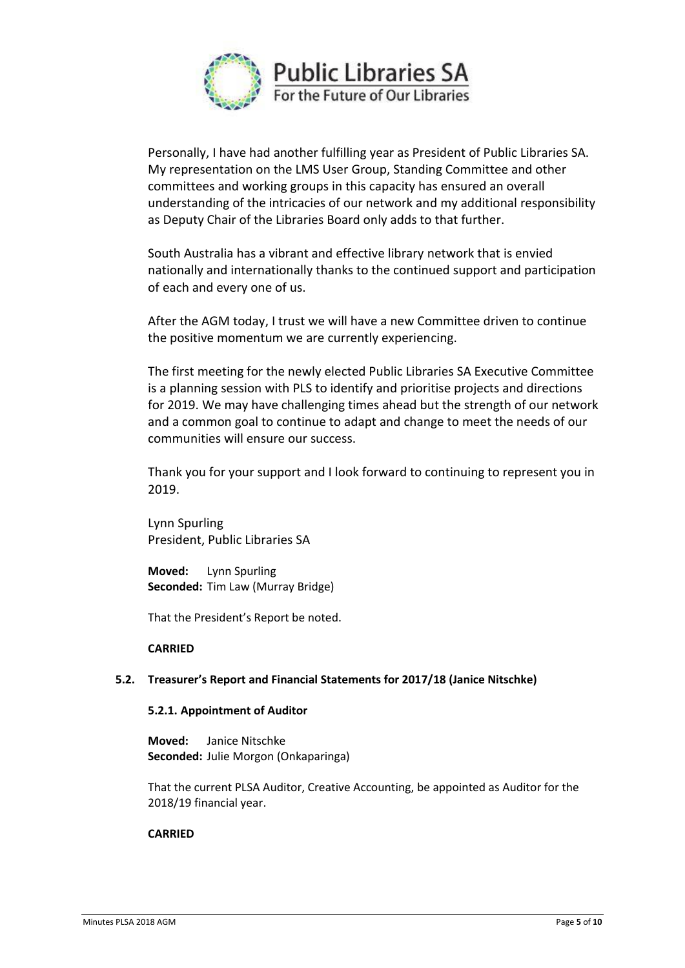

Personally, I have had another fulfilling year as President of Public Libraries SA. My representation on the LMS User Group, Standing Committee and other committees and working groups in this capacity has ensured an overall understanding of the intricacies of our network and my additional responsibility as Deputy Chair of the Libraries Board only adds to that further.

South Australia has a vibrant and effective library network that is envied nationally and internationally thanks to the continued support and participation of each and every one of us.

After the AGM today, I trust we will have a new Committee driven to continue the positive momentum we are currently experiencing.

The first meeting for the newly elected Public Libraries SA Executive Committee is a planning session with PLS to identify and prioritise projects and directions for 2019. We may have challenging times ahead but the strength of our network and a common goal to continue to adapt and change to meet the needs of our communities will ensure our success.

Thank you for your support and I look forward to continuing to represent you in 2019.

Lynn Spurling President, Public Libraries SA

**Moved:** Lynn Spurling **Seconded:** Tim Law (Murray Bridge)

That the President's Report be noted.

### **CARRIED**

### **5.2. Treasurer's Report and Financial Statements for 2017/18 (Janice Nitschke)**

### **5.2.1. Appointment of Auditor**

**Moved:** Janice Nitschke **Seconded:** Julie Morgon (Onkaparinga)

That the current PLSA Auditor, Creative Accounting, be appointed as Auditor for the 2018/19 financial year.

### **CARRIED**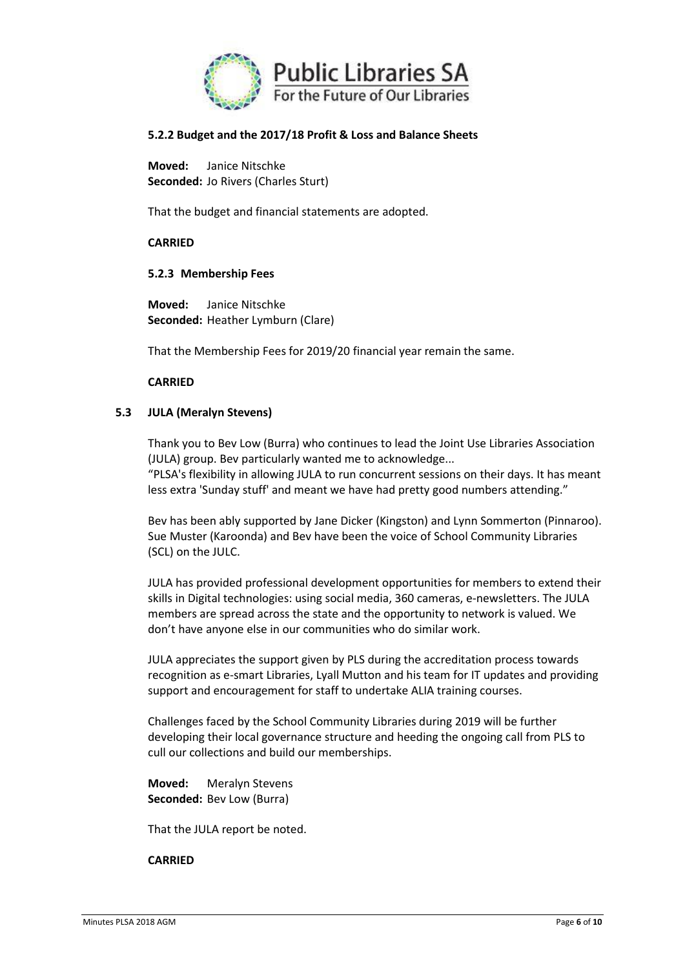

## **5.2.2 Budget and the 2017/18 Profit & Loss and Balance Sheets**

**Moved:** Janice Nitschke **Seconded:** Jo Rivers (Charles Sturt)

That the budget and financial statements are adopted.

## **CARRIED**

## **5.2.3 Membership Fees**

**Moved:** Janice Nitschke **Seconded:** Heather Lymburn (Clare)

That the Membership Fees for 2019/20 financial year remain the same.

## **CARRIED**

## **5.3 JULA (Meralyn Stevens)**

Thank you to Bev Low (Burra) who continues to lead the Joint Use Libraries Association (JULA) group. Bev particularly wanted me to acknowledge...

"PLSA's flexibility in allowing JULA to run concurrent sessions on their days. It has meant less extra 'Sunday stuff' and meant we have had pretty good numbers attending."

Bev has been ably supported by Jane Dicker (Kingston) and Lynn Sommerton (Pinnaroo). Sue Muster (Karoonda) and Bev have been the voice of School Community Libraries (SCL) on the JULC.

JULA has provided professional development opportunities for members to extend their skills in Digital technologies: using social media, 360 cameras, e-newsletters. The JULA members are spread across the state and the opportunity to network is valued. We don't have anyone else in our communities who do similar work.

JULA appreciates the support given by PLS during the accreditation process towards recognition as e-smart Libraries, Lyall Mutton and his team for IT updates and providing support and encouragement for staff to undertake ALIA training courses.

Challenges faced by the School Community Libraries during 2019 will be further developing their local governance structure and heeding the ongoing call from PLS to cull our collections and build our memberships.

**Moved:** Meralyn Stevens **Seconded:** Bev Low (Burra)

That the JULA report be noted.

### **CARRIED**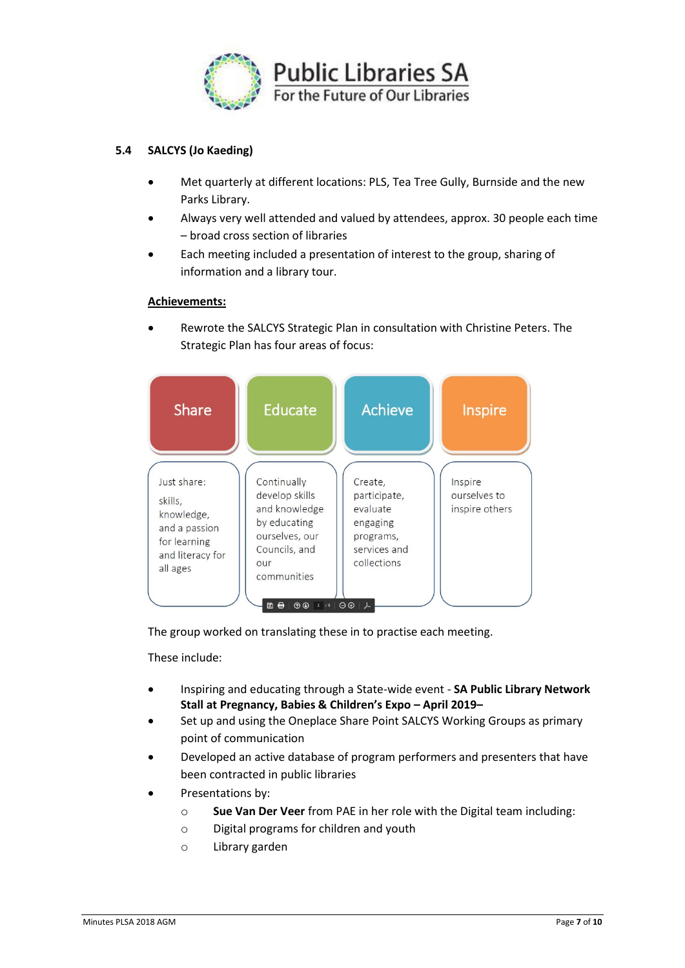

## **5.4 SALCYS (Jo Kaeding)**

- Met quarterly at different locations: PLS, Tea Tree Gully, Burnside and the new Parks Library.
- Always very well attended and valued by attendees, approx. 30 people each time – broad cross section of libraries
- Each meeting included a presentation of interest to the group, sharing of information and a library tour.

### **Achievements:**

• Rewrote the SALCYS Strategic Plan in consultation with Christine Peters. The Strategic Plan has four areas of focus:



The group worked on translating these in to practise each meeting.

These include:

- Inspiring and educating through a State-wide event **SA Public Library Network Stall at Pregnancy, Babies & Children's Expo – April 2019–**
- Set up and using the Oneplace Share Point SALCYS Working Groups as primary point of communication
- Developed an active database of program performers and presenters that have been contracted in public libraries
- Presentations by:
	- o **Sue Van Der Veer** from PAE in her role with the Digital team including:
	- o Digital programs for children and youth
	- o Library garden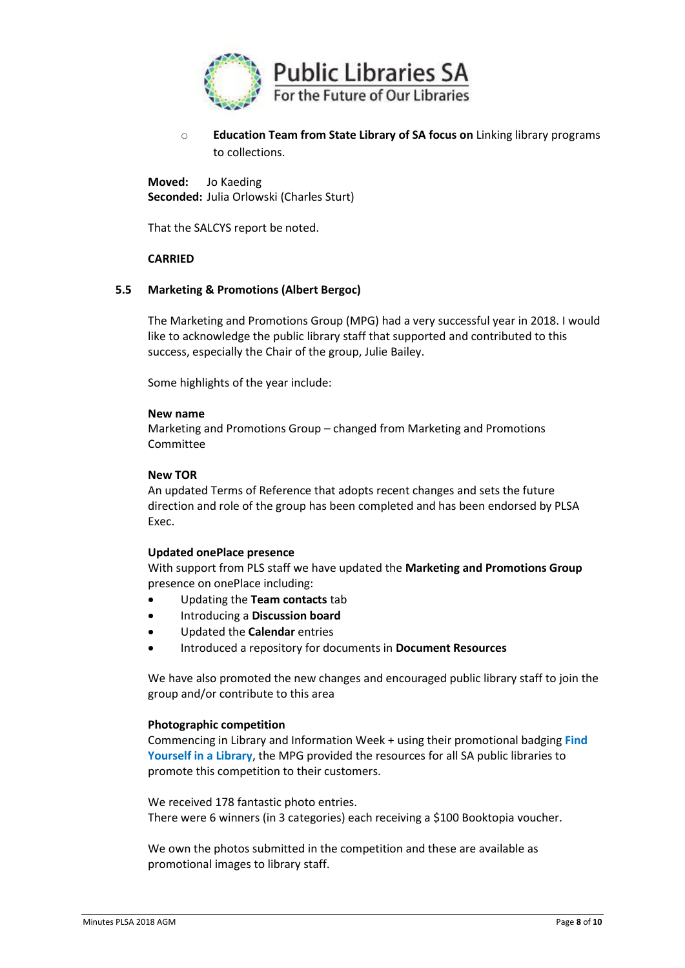

o **Education Team from State Library of SA focus on** Linking library programs to collections.

**Moved:** Jo Kaeding **Seconded:** Julia Orlowski (Charles Sturt)

That the SALCYS report be noted.

## **CARRIED**

### **5.5 Marketing & Promotions (Albert Bergoc)**

The Marketing and Promotions Group (MPG) had a very successful year in 2018. I would like to acknowledge the public library staff that supported and contributed to this success, especially the Chair of the group, Julie Bailey.

Some highlights of the year include:

#### **New name**

Marketing and Promotions Group – changed from Marketing and Promotions Committee

#### **New TOR**

An updated Terms of Reference that adopts recent changes and sets the future direction and role of the group has been completed and has been endorsed by PLSA Exec.

### **Updated onePlace presence**

With support from PLS staff we have updated the **Marketing and Promotions Group**  presence on onePlace including:

- Updating the **Team contacts** tab
- Introducing a **Discussion board**
- Updated the **Calendar** entries
- Introduced a repository for documents in **Document Resources**

We have also promoted the new changes and encouraged public library staff to join the group and/or contribute to this area

### **Photographic competition**

Commencing in Library and Information Week + using their promotional badging **Find Yourself in a Library**, the MPG provided the resources for all SA public libraries to promote this competition to their customers.

We received 178 fantastic photo entries. There were 6 winners (in 3 categories) each receiving a \$100 Booktopia voucher.

We own the photos submitted in the competition and these are available as promotional images to library staff.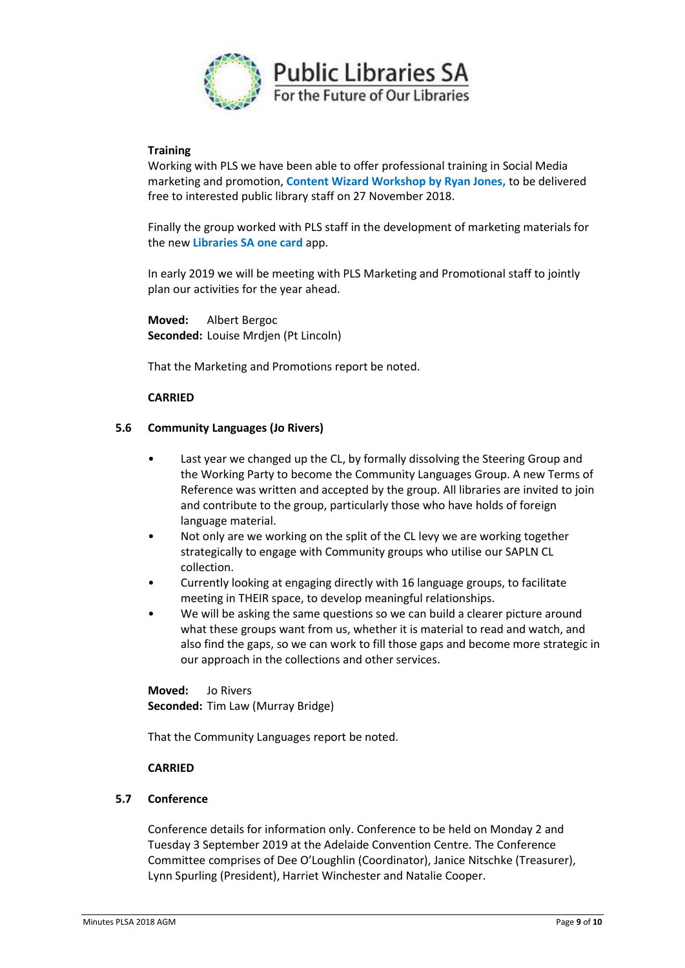

### **Training**

Working with PLS we have been able to offer professional training in Social Media marketing and promotion, **Content Wizard Workshop by Ryan Jones,** to be delivered free to interested public library staff on 27 November 2018.

Finally the group worked with PLS staff in the development of marketing materials for the new **Libraries SA one card** app.

In early 2019 we will be meeting with PLS Marketing and Promotional staff to jointly plan our activities for the year ahead.

**Moved:** Albert Bergoc **Seconded:** Louise Mrdjen (Pt Lincoln)

That the Marketing and Promotions report be noted.

## **CARRIED**

### **5.6 Community Languages (Jo Rivers)**

- Last year we changed up the CL, by formally dissolving the Steering Group and the Working Party to become the Community Languages Group. A new Terms of Reference was written and accepted by the group. All libraries are invited to join and contribute to the group, particularly those who have holds of foreign language material.
- Not only are we working on the split of the CL levy we are working together strategically to engage with Community groups who utilise our SAPLN CL collection.
- Currently looking at engaging directly with 16 language groups, to facilitate meeting in THEIR space, to develop meaningful relationships.
- We will be asking the same questions so we can build a clearer picture around what these groups want from us, whether it is material to read and watch, and also find the gaps, so we can work to fill those gaps and become more strategic in our approach in the collections and other services.

**Moved:** Jo Rivers **Seconded:** Tim Law (Murray Bridge)

That the Community Languages report be noted.

### **CARRIED**

### **5.7 Conference**

Conference details for information only. Conference to be held on Monday 2 and Tuesday 3 September 2019 at the Adelaide Convention Centre. The Conference Committee comprises of Dee O'Loughlin (Coordinator), Janice Nitschke (Treasurer), Lynn Spurling (President), Harriet Winchester and Natalie Cooper.